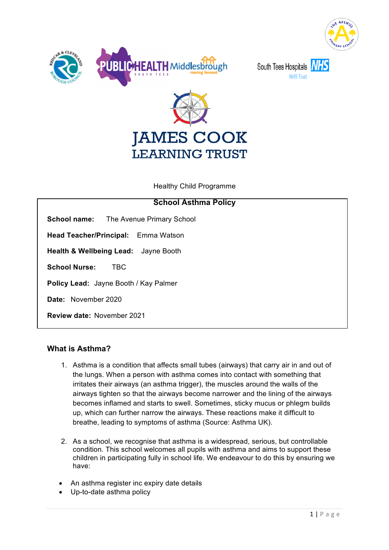



South Tees Hospitals





Healthy Child Programme

| <b>School Asthma Policy</b>                     |
|-------------------------------------------------|
| <b>School name:</b> The Avenue Primary School   |
| <b>Head Teacher/Principal:</b> Emma Watson      |
| <b>Health &amp; Wellbeing Lead:</b> Jayne Booth |
| <b>School Nurse:</b><br><b>TBC</b>              |
| Policy Lead: Jayne Booth / Kay Palmer           |
| Date: November 2020                             |
| <b>Review date: November 2021</b>               |
|                                                 |

# **What is Asthma?**

- 1. Asthma is a condition that affects small tubes (airways) that carry air in and out of the lungs. When a person with asthma comes into contact with something that irritates their airways (an asthma trigger), the muscles around the walls of the airways tighten so that the airways become narrower and the lining of the airways becomes inflamed and starts to swell. Sometimes, sticky mucus or phlegm builds up, which can further narrow the airways. These reactions make it difficult to breathe, leading to symptoms of asthma (Source: Asthma UK).
- 2. As a school, we recognise that asthma is a widespread, serious, but controllable condition. This school welcomes all pupils with asthma and aims to support these children in participating fully in school life. We endeavour to do this by ensuring we have:
- An asthma register inc expiry date details
- Up-to-date asthma policy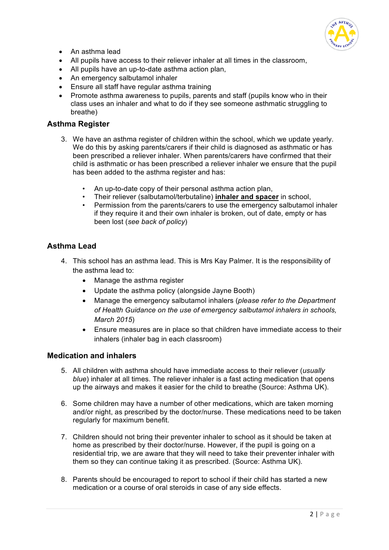

- An asthma lead
- All pupils have access to their reliever inhaler at all times in the classroom,
- All pupils have an up-to-date asthma action plan.
- An emergency salbutamol inhaler
- Ensure all staff have regular asthma training
- Promote asthma awareness to pupils, parents and staff (pupils know who in their class uses an inhaler and what to do if they see someone asthmatic struggling to breathe)

### **Asthma Register**

- 3. We have an asthma register of children within the school, which we update yearly. We do this by asking parents/carers if their child is diagnosed as asthmatic or has been prescribed a reliever inhaler. When parents/carers have confirmed that their child is asthmatic or has been prescribed a reliever inhaler we ensure that the pupil has been added to the asthma register and has:
	- An up-to-date copy of their personal asthma action plan,
	- Their reliever (salbutamol/terbutaline) **inhaler and spacer** in school,
	- Permission from the parents/carers to use the emergency salbutamol inhaler if they require it and their own inhaler is broken, out of date, empty or has been lost (*see back of policy*)

## **Asthma Lead**

- 4. This school has an asthma lead. This is Mrs Kay Palmer. It is the responsibility of the asthma lead to:
	- Manage the asthma register
	- Update the asthma policy (alongside Jayne Booth)
	- Manage the emergency salbutamol inhalers (*please refer to the Department of Health Guidance on the use of emergency salbutamol inhalers in schools, March 2015*)
	- Ensure measures are in place so that children have immediate access to their inhalers (inhaler bag in each classroom)

# **Medication and inhalers**

- 5. All children with asthma should have immediate access to their reliever (*usually blue*) inhaler at all times. The reliever inhaler is a fast acting medication that opens up the airways and makes it easier for the child to breathe (Source: Asthma UK).
- 6. Some children may have a number of other medications, which are taken morning and/or night, as prescribed by the doctor/nurse. These medications need to be taken regularly for maximum benefit.
- 7. Children should not bring their preventer inhaler to school as it should be taken at home as prescribed by their doctor/nurse. However, if the pupil is going on a residential trip, we are aware that they will need to take their preventer inhaler with them so they can continue taking it as prescribed. (Source: Asthma UK).
- 8. Parents should be encouraged to report to school if their child has started a new medication or a course of oral steroids in case of any side effects.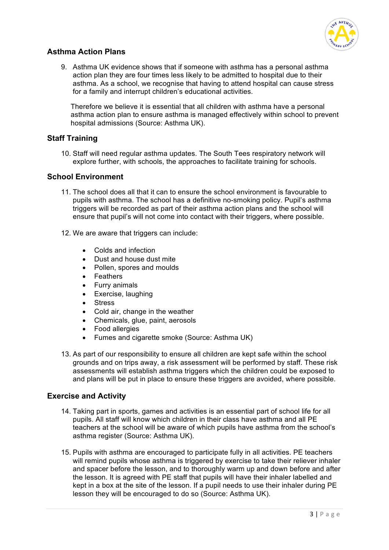

# **Asthma Action Plans**

9. Asthma UK evidence shows that if someone with asthma has a personal asthma action plan they are four times less likely to be admitted to hospital due to their asthma. As a school, we recognise that having to attend hospital can cause stress for a family and interrupt children's educational activities.

Therefore we believe it is essential that all children with asthma have a personal asthma action plan to ensure asthma is managed effectively within school to prevent hospital admissions (Source: Asthma UK).

# **Staff Training**

10. Staff will need regular asthma updates. The South Tees respiratory network will explore further, with schools, the approaches to facilitate training for schools.

## **School Environment**

- 11. The school does all that it can to ensure the school environment is favourable to pupils with asthma. The school has a definitive no-smoking policy. Pupil's asthma triggers will be recorded as part of their asthma action plans and the school will ensure that pupil's will not come into contact with their triggers, where possible.
- 12. We are aware that triggers can include:
	- Colds and infection
	- Dust and house dust mite
	- Pollen, spores and moulds
	- Feathers
	- Furry animals
	- Exercise, laughing
	- Stress
	- Cold air, change in the weather
	- Chemicals, glue, paint, aerosols
	- Food allergies
	- Fumes and cigarette smoke (Source: Asthma UK)
- 13. As part of our responsibility to ensure all children are kept safe within the school grounds and on trips away, a risk assessment will be performed by staff. These risk assessments will establish asthma triggers which the children could be exposed to and plans will be put in place to ensure these triggers are avoided, where possible.

## **Exercise and Activity**

- 14. Taking part in sports, games and activities is an essential part of school life for all pupils. All staff will know which children in their class have asthma and all PE teachers at the school will be aware of which pupils have asthma from the school's asthma register (Source: Asthma UK).
- 15. Pupils with asthma are encouraged to participate fully in all activities. PE teachers will remind pupils whose asthma is triggered by exercise to take their reliever inhaler and spacer before the lesson, and to thoroughly warm up and down before and after the lesson. It is agreed with PE staff that pupils will have their inhaler labelled and kept in a box at the site of the lesson. If a pupil needs to use their inhaler during PE lesson they will be encouraged to do so (Source: Asthma UK).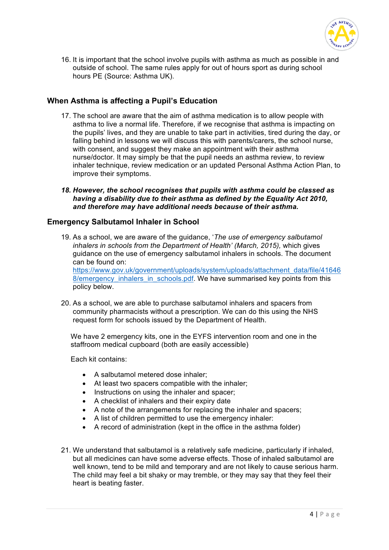

16. It is important that the school involve pupils with asthma as much as possible in and outside of school. The same rules apply for out of hours sport as during school hours PE (Source: Asthma UK).

## **When Asthma is affecting a Pupil's Education**

- 17. The school are aware that the aim of asthma medication is to allow people with asthma to live a normal life. Therefore, if we recognise that asthma is impacting on the pupils' lives, and they are unable to take part in activities, tired during the day, or falling behind in lessons we will discuss this with parents/carers, the school nurse, with consent, and suggest they make an appointment with their asthma nurse/doctor. It may simply be that the pupil needs an asthma review, to review inhaler technique, review medication or an updated Personal Asthma Action Plan, to improve their symptoms.
- *18. However, the school recognises that pupils with asthma could be classed as having a disability due to their asthma as defined by the Equality Act 2010, and therefore may have additional needs because of their asthma.*

## **Emergency Salbutamol Inhaler in School**

19. As a school, we are aware of the guidance, '*The use of emergency salbutamol inhalers in schools from the Department of Health' (March, 2015),* which gives guidance on the use of emergency salbutamol inhalers in schools. The document can be found on: https://www.gov.uk/government/uploads/system/uploads/attachment\_data/file/41646

8/emergency inhalers in schools.pdf. We have summarised key points from this policy below.

20. As a school, we are able to purchase salbutamol inhalers and spacers from community pharmacists without a prescription. We can do this using the NHS request form for schools issued by the Department of Health.

We have 2 emergency kits, one in the EYFS intervention room and one in the staffroom medical cupboard (both are easily accessible)

Each kit contains:

- A salbutamol metered dose inhaler;
- At least two spacers compatible with the inhaler;
- Instructions on using the inhaler and spacer;
- A checklist of inhalers and their expiry date
- A note of the arrangements for replacing the inhaler and spacers;
- A list of children permitted to use the emergency inhaler:
- A record of administration (kept in the office in the asthma folder)
- 21. We understand that salbutamol is a relatively safe medicine, particularly if inhaled, but all medicines can have some adverse effects. Those of inhaled salbutamol are well known, tend to be mild and temporary and are not likely to cause serious harm. The child may feel a bit shaky or may tremble, or they may say that they feel their heart is beating faster.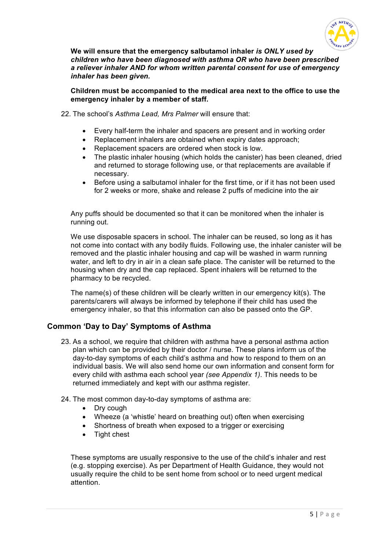

**We will ensure that the emergency salbutamol inhaler** *is ONLY used by children who have been diagnosed with asthma OR who have been prescribed a reliever inhaler AND for whom written parental consent for use of emergency inhaler has been given.* 

**Children must be accompanied to the medical area next to the office to use the emergency inhaler by a member of staff.** 

- 22. The school's *Asthma Lead, Mrs Palmer* will ensure that:
	- Every half-term the inhaler and spacers are present and in working order
	- Replacement inhalers are obtained when expiry dates approach;
	- Replacement spacers are ordered when stock is low.
	- The plastic inhaler housing (which holds the canister) has been cleaned, dried and returned to storage following use, or that replacements are available if necessary.
	- Before using a salbutamol inhaler for the first time, or if it has not been used for 2 weeks or more, shake and release 2 puffs of medicine into the air

Any puffs should be documented so that it can be monitored when the inhaler is running out.

We use disposable spacers in school. The inhaler can be reused, so long as it has not come into contact with any bodily fluids. Following use, the inhaler canister will be removed and the plastic inhaler housing and cap will be washed in warm running water, and left to dry in air in a clean safe place. The canister will be returned to the housing when dry and the cap replaced. Spent inhalers will be returned to the pharmacy to be recycled.

The name(s) of these children will be clearly written in our emergency kit(s). The parents/carers will always be informed by telephone if their child has used the emergency inhaler, so that this information can also be passed onto the GP.

## **Common 'Day to Day' Symptoms of Asthma**

- 23. As a school, we require that children with asthma have a personal asthma action plan which can be provided by their doctor / nurse. These plans inform us of the day-to-day symptoms of each child's asthma and how to respond to them on an individual basis. We will also send home our own information and consent form for every child with asthma each school year *(see Appendix 1)*. This needs to be returned immediately and kept with our asthma register.
- 24. The most common day-to-day symptoms of asthma are:
	- Dry cough
	- Wheeze (a 'whistle' heard on breathing out) often when exercising
	- Shortness of breath when exposed to a trigger or exercising
	- Tight chest

These symptoms are usually responsive to the use of the child's inhaler and rest (e.g. stopping exercise). As per Department of Health Guidance, they would not usually require the child to be sent home from school or to need urgent medical attention.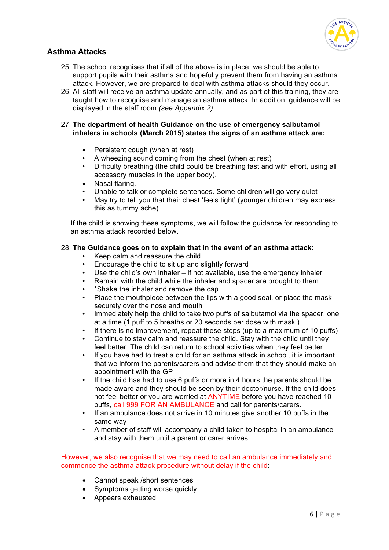

# **Asthma Attacks**

- 25. The school recognises that if all of the above is in place, we should be able to support pupils with their asthma and hopefully prevent them from having an asthma attack. However, we are prepared to deal with asthma attacks should they occur.
- 26. All staff will receive an asthma update annually, and as part of this training, they are taught how to recognise and manage an asthma attack. In addition, guidance will be displayed in the staff room *(see Appendix 2)*.

#### 27. **The department of health Guidance on the use of emergency salbutamol inhalers in schools (March 2015) states the signs of an asthma attack are:**

- Persistent cough (when at rest)
- A wheezing sound coming from the chest (when at rest)
- Difficulty breathing (the child could be breathing fast and with effort, using all accessory muscles in the upper body).
- Nasal flaring.
- Unable to talk or complete sentences. Some children will go very quiet
- May try to tell you that their chest 'feels tight' (younger children may express this as tummy ache)

If the child is showing these symptoms, we will follow the guidance for responding to an asthma attack recorded below.

#### 28. **The Guidance goes on to explain that in the event of an asthma attack:**

- Keep calm and reassure the child
- Encourage the child to sit up and slightly forward
- Use the child's own inhaler if not available, use the emergency inhaler
- Remain with the child while the inhaler and spacer are brought to them
- \*Shake the inhaler and remove the cap
- Place the mouthpiece between the lips with a good seal, or place the mask securely over the nose and mouth
- Immediately help the child to take two puffs of salbutamol via the spacer, one at a time (1 puff to 5 breaths or 20 seconds per dose with mask )
- If there is no improvement, repeat these steps (up to a maximum of 10 puffs)
- Continue to stay calm and reassure the child. Stay with the child until they feel better. The child can return to school activities when they feel better.
- If you have had to treat a child for an asthma attack in school, it is important that we inform the parents/carers and advise them that they should make an appointment with the GP
- If the child has had to use 6 puffs or more in 4 hours the parents should be made aware and they should be seen by their doctor/nurse. If the child does not feel better or you are worried at ANYTIME before you have reached 10 puffs, call 999 FOR AN AMBULANCE and call for parents/carers.
- If an ambulance does not arrive in 10 minutes give another 10 puffs in the same way
- A member of staff will accompany a child taken to hospital in an ambulance and stay with them until a parent or carer arrives.

#### However, we also recognise that we may need to call an ambulance immediately and commence the asthma attack procedure without delay if the child:

- Cannot speak /short sentences
- Symptoms getting worse quickly
- Appears exhausted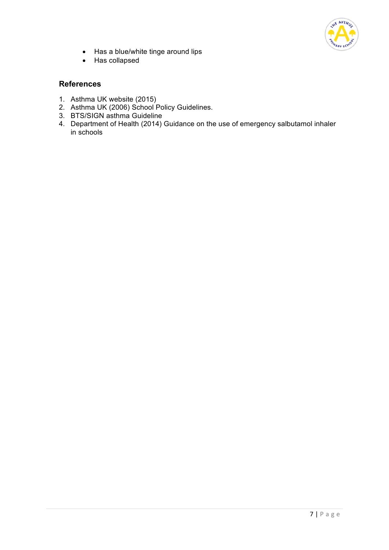

- Has a blue/white tinge around lips
- Has collapsed

# **References**

- 1. Asthma UK website (2015)
- 2. Asthma UK (2006) School Policy Guidelines.
- 3. BTS/SIGN asthma Guideline
- 4. Department of Health (2014) Guidance on the use of emergency salbutamol inhaler in schools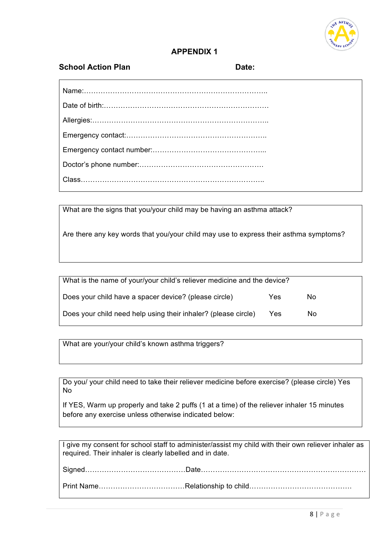

# **APPENDIX 1**

## **School Action Plan Date:**

What are the signs that you/your child may be having an asthma attack?

Are there any key words that you/your child may use to express their asthma symptoms?

| What is the name of your/your child's reliever medicine and the device? |     |     |
|-------------------------------------------------------------------------|-----|-----|
| Does your child have a spacer device? (please circle)                   | Yes | Nο  |
| Does your child need help using their inhaler? (please circle)          | Yes | No. |

What are your/your child's known asthma triggers?

Do you/ your child need to take their reliever medicine before exercise? (please circle) Yes No

If YES, Warm up properly and take 2 puffs (1 at a time) of the reliever inhaler 15 minutes before any exercise unless otherwise indicated below:

I give my consent for school staff to administer/assist my child with their own reliever inhaler as required. Their inhaler is clearly labelled and in date.

Signed……………………………………Date…………………………………………………………… Print Name………………………………Relationship to child…………………………………….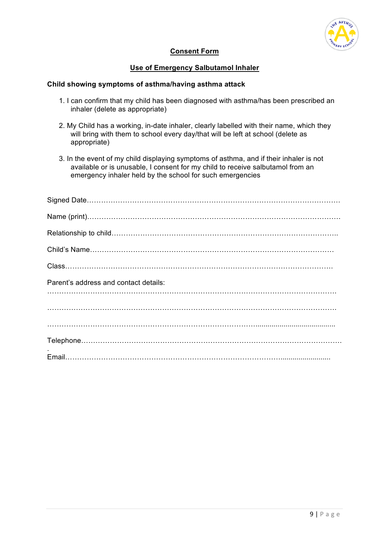

#### **Consent Form**

#### **Use of Emergency Salbutamol Inhaler**

#### **Child showing symptoms of asthma/having asthma attack**

- 1. I can confirm that my child has been diagnosed with asthma/has been prescribed an inhaler (delete as appropriate)
- 2. My Child has a working, in-date inhaler, clearly labelled with their name, which they will bring with them to school every day/that will be left at school (delete as appropriate)
- 3. In the event of my child displaying symptoms of asthma, and if their inhaler is not available or is unusable, I consent for my child to receive salbutamol from an emergency inhaler held by the school for such emergencies

| Parent's address and contact details: |
|---------------------------------------|
|                                       |
|                                       |
|                                       |
|                                       |
|                                       |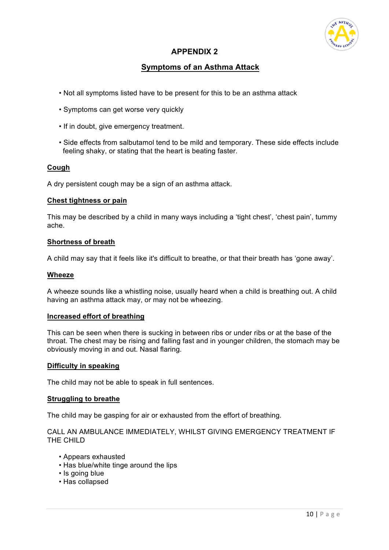

# **APPENDIX 2**

# **Symptoms of an Asthma Attack**

- Not all symptoms listed have to be present for this to be an asthma attack
- Symptoms can get worse very quickly
- If in doubt, give emergency treatment.
- Side effects from salbutamol tend to be mild and temporary. These side effects include feeling shaky, or stating that the heart is beating faster.

#### **Cough**

A dry persistent cough may be a sign of an asthma attack.

#### **Chest tightness or pain**

This may be described by a child in many ways including a 'tight chest', 'chest pain', tummy ache.

#### **Shortness of breath**

A child may say that it feels like it's difficult to breathe, or that their breath has 'gone away'.

#### **Wheeze**

A wheeze sounds like a whistling noise, usually heard when a child is breathing out. A child having an asthma attack may, or may not be wheezing.

#### **Increased effort of breathing**

This can be seen when there is sucking in between ribs or under ribs or at the base of the throat. The chest may be rising and falling fast and in younger children, the stomach may be obviously moving in and out. Nasal flaring.

#### **Difficulty in speaking**

The child may not be able to speak in full sentences.

#### **Struggling to breathe**

The child may be gasping for air or exhausted from the effort of breathing.

CALL AN AMBULANCE IMMEDIATELY, WHILST GIVING EMERGENCY TREATMENT IF THE CHILD

- Appears exhausted
- Has blue/white tinge around the lips
- Is going blue
- Has collapsed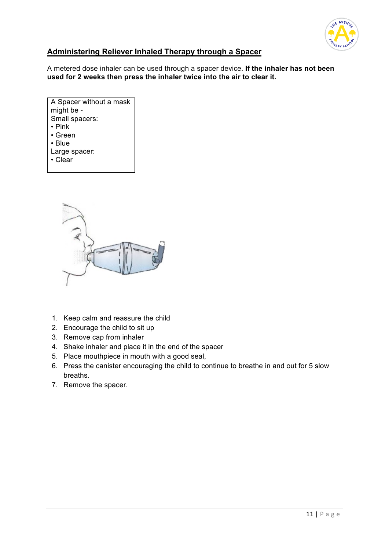

# **Administering Reliever Inhaled Therapy through a Spacer**

A metered dose inhaler can be used through a spacer device. **If the inhaler has not been used for 2 weeks then press the inhaler twice into the air to clear it.** 

| A Spacer without a mask |
|-------------------------|
| might be -              |
| Small spacers:          |
| $\cdot$ Pink            |
| • Green                 |
| • Blue                  |
| Large spacer:           |
| • Clear                 |
|                         |



- 1. Keep calm and reassure the child
- 2. Encourage the child to sit up
- 3. Remove cap from inhaler
- 4. Shake inhaler and place it in the end of the spacer
- 5. Place mouthpiece in mouth with a good seal,
- 6. Press the canister encouraging the child to continue to breathe in and out for 5 slow breaths.
- 7. Remove the spacer.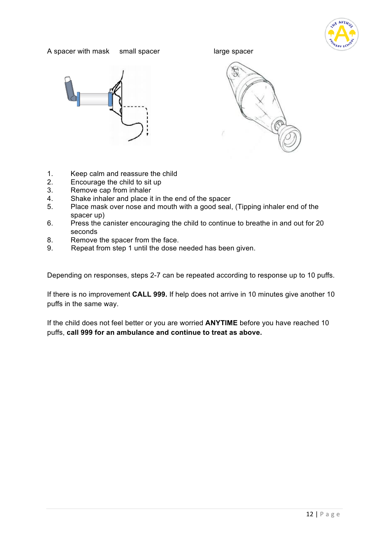

#### A spacer with mask small spacer and large spacer







- 1. Keep calm and reassure the child
- 2. Encourage the child to sit up
- 3. Remove cap from inhaler
- 4. Shake inhaler and place it in the end of the spacer
- 5. Place mask over nose and mouth with a good seal, (Tipping inhaler end of the spacer up)
- 6. Press the canister encouraging the child to continue to breathe in and out for 20 seconds
- 8. Remove the spacer from the face.
- 9. Repeat from step 1 until the dose needed has been given.

Depending on responses, steps 2-7 can be repeated according to response up to 10 puffs.

If there is no improvement **CALL 999.** If help does not arrive in 10 minutes give another 10 puffs in the same way.

If the child does not feel better or you are worried **ANYTIME** before you have reached 10 puffs, **call 999 for an ambulance and continue to treat as above.**